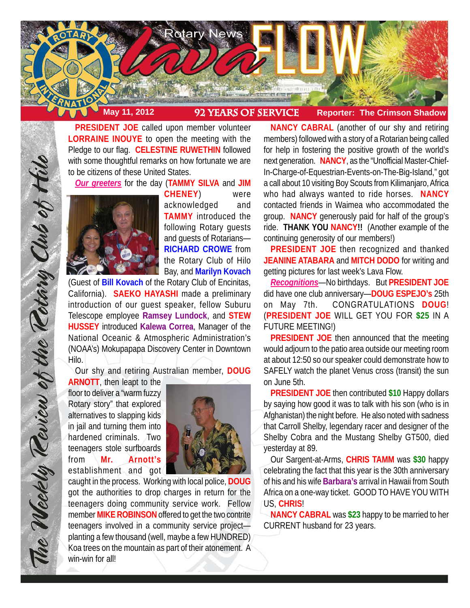

**PRESIDENT JOE** called upon member volunteer **LORRAINE INOUYE** to open the meeting with the Pledge to our flag. **CELESTINE RUWETHIN** followed with some thoughtful remarks on how fortunate we are to be citizens of these United States.

*Our greeters* for the day (**TAMMY SILVA** and **JIM**



**CHENEY**) were acknowledged and **TAMMY** introduced the following Rotary guests and guests of Rotarians— **RICHARD CROWE** from the Rotary Club of Hilo Bay, and **Marilyn Kovach**

(Guest of **Bill Kovach** of the Rotary Club of Encinitas, California). **SAEKO HAYASHI** made a preliminary introduction of our guest speaker, fellow Suburu Telescope employee **Ramsey Lundock**, and **STEW HUSSEY** introduced **Kalewa Correa**, Manager of the National Oceanic & Atmospheric Administration's (NOAA's) Mokupapapa Discovery Center in Downtown Hilo.

Our shy and retiring Australian member, **DOUG**

**ARNOTT**, then leapt to the floor to deliver a "warm fuzzy Rotary story" that explored alternatives to slapping kids in jail and turning them into hardened criminals. Two teenagers stole surfboards from **Mr. Arnott's** establishment and got

The Weekly Review of the Rotary Club of Hill



caught in the process. Working with local police, **DOUG** got the authorities to drop charges in return for the teenagers doing community service work. Fellow member **MIKE ROBINSON** offered to get the two contrite teenagers involved in a community service project planting a few thousand (well, maybe a few HUNDRED) Koa trees on the mountain as part of their atonement. A win-win for all!

**NANCY CABRAL** (another of our shy and retiring members) followed with a story of a Rotarian being called for help in fostering the positive growth of the world's next generation. **NANCY**, as the "Unofficial Master-Chief-In-Charge-of-Equestrian-Events-on-The-Big-Island," got a call about 10 visiting Boy Scouts from Kilimanjaro, Africa who had always wanted to ride horses. **NANCY** contacted friends in Waimea who accommodated the group. **NANCY** generously paid for half of the group's ride. **THANK YOU NANCY!!** (Another example of the continuing generosity of our members!)

**PRESIDENT JOE** then recognized and thanked **JEANINE ATABARA** and **MITCH DODO** for writing and getting pictures for last week's Lava Flow.

*Recognitions*—No birthdays. But **PRESIDENT JOE** did have one club anniversary—**DOUG ESPEJO's** 25th on May 7th. CONGRATULATIONS **DOUG**! (**PRESIDENT JOE** WILL GET YOU FOR **\$25** IN A FUTURE MEETING!)

**PRESIDENT JOE** then announced that the meeting would adjourn to the patio area outside our meeting room at about 12:50 so our speaker could demonstrate how to SAFELY watch the planet Venus cross (transit) the sun on June 5th.

**PRESIDENT JOE** then contributed **\$10** Happy dollars by saying how good it was to talk with his son (who is in Afghanistan) the night before. He also noted with sadness that Carroll Shelby, legendary racer and designer of the Shelby Cobra and the Mustang Shelby GT500, died yesterday at 89.

Our Sargent-at-Arms, **CHRIS TAMM** was **\$30** happy celebrating the fact that this year is the 30th anniversary of his and his wife **Barbara's** arrival in Hawaii from South Africa on a one-way ticket. GOOD TO HAVE YOU WITH US, **CHRIS**!

**NANCY CABRAL** was **\$23** happy to be married to her CURRENT husband for 23 years.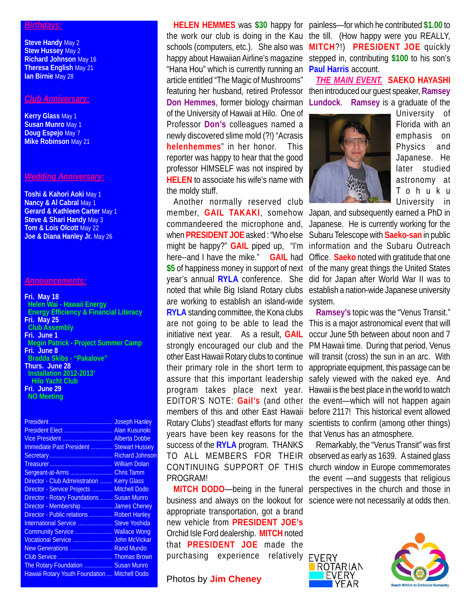#### *Birthdays:*

**Steve Handy** May 2 **Stew Hussey** May 2 **Richard Johnson** May 16 **Theresa English** May 21 **Ian Birnie** May 28

### *Club Anniversary:*

**Kerry Glass** May 1 **Susan Munro** May 1 **Doug Espejo** May 7 **Mike Robinson** May 21

# *Wedding Anniversary:*

**Toshi & Kahori Aoki** May 1 **Nancy & Al Cabral May 1 Gerard & Kathleen Carter** May 1 **Steve & Shari Handy** May 3 **Tom & Lois Olcott** May 22 **Joe & Diana Hanley Jr.** May 26

## *Announcements:*

**Fri. May 18 Helen Wai - Hawaii Energy Energy Efficiency & Financial Literacy Fri. May 25 Club Assembly Fri. June 1 Megin Patrick - Project Summer Camp Fri. June 8 Bradda Skibs - "Pakalove" Thurs. June 28 Installation 2012-2013' Hilo Yacht Club Fri. June 29 NO Meeting**

|                                                      | <b>Joseph Hanley</b>   |
|------------------------------------------------------|------------------------|
| President Elect                                      | <b>Alan Kusunoki</b>   |
| Vice President  Alberta Dobbe                        |                        |
| Immediate Past President  Stewart Hussey             |                        |
|                                                      | <b>Richard Johnson</b> |
|                                                      |                        |
| Sergeant-at-Arms                                     | <b>Chris Tamm</b>      |
| Director - Club Administration                       | <b>Kerry Glass</b>     |
| Director - Service Projects                          | <b>Mitchell Dodo</b>   |
| Director - Rotary Foundations                        | <b>Susan Munro</b>     |
| Director - Membership  James Cheney                  |                        |
| Director - Public relations  Robert Hanley           |                        |
| International Service                                | <b>Steve Yoshida</b>   |
| Community Service  Wallace Wong                      |                        |
| Vocational Service                                   | <b>John McVickar</b>   |
| New Generations  Rand Mundo                          |                        |
| Club Service  Thomas Brown                           |                        |
| The Rotary Foundation  Susan Munro                   |                        |
| <b>Hawaii Rotary Youth Foundation  Mitchell Dodo</b> |                        |
|                                                      |                        |

"Hana Hou" which is currently running an **Paul Harris** account. article entitled "The Magic of Mushrooms" of the University of Hawaii at Hilo. One of Professor **Don's** colleagues named a newly discovered slime mold (?!) "Acrasis **helenhemmes**" in her honor. This reporter was happy to hear that the good professor HIMSELF was not inspired by **HELEN** to associate his wife's name with the moldy stuff.

Another normally reserved club are working to establish an island-wide system. **RYLA** standing committee, the Kona clubs years have been key reasons for the that Venus has an atmosphere. success of the **RYLA** program. THANKS PROGRAM!

business and always on the lookout for science were not necessarily at odds then.appropriate transportation, got a brand new vehicle from **PRESIDENT JOE's** Orchid Isle Ford dealership. **MITCH** noted that **PRESIDENT JOE** made the purchasing experience relatively EVERY

**Photos by Jim Cheney** 

**HELEN HEMMES** was **\$30** happy for painless—for which he contributed **\$1.00** to the work our club is doing in the Kau the till. (How happy were you REALLY, schools (computers, etc.). She also was **MITCH**?!) **PRESIDENT JOE** quickly happy about Hawaiian Airline's magazine stepped in, contributing \$100 to his son's

featuring her husband, retired Professor then introduced our guest speaker, **Ramsey Don Hemmes**, former biology chairman **Lundock**. **Ramsey** is a graduate of the *THE MAIN EVENT.* **SAEKO HAYASHI**



University of Florida with an emphasis on Physics and Japanese. He later studied astronomy at Tohuku University in

member, **GAIL TAKAKI**, somehow Japan, and subsequently earned a PhD in commandeered the microphone and, Japanese. He is currently working for the when **PRESIDENT JOE** asked : "Who else Subaru Telescope with **Saeko-san** in public might be happy?" **GAIL** piped up, "I'm information and the Subaru Outreach here--and I have the mike." **GAIL** had Office. **Saeko** noted with gratitude that one **\$5** of happiness money in support of next of the many great things the United States year's annual **RYLA** conference. She did for Japan after World War II was to noted that while Big Island Rotary clubs establish a nation-wide Japanese university

are not going to be able to lead the This is a major astronomical event that will initiative next year. As a result, **GAIL** occur June 5th between about noon and 7 strongly encouraged our club and the PM Hawaii time. During that period, Venus other East Hawaii Rotary clubs to continue will transit (cross) the sun in an arc. With their primary role in the short term to appropriate equipment, this passage can be assure that this important leadership safely viewed with the naked eye. And program takes place next year. Hawaii is the best place in the world to watch EDITOR'S NOTE: **Gail's** (and other the event—which will not happen again members of this and other East Hawaii before 2117! This historical event allowed Rotary Clubs') steadfast efforts for many scientists to confirm (among other things) **Ramsey's** topic was the "Venus Transit."

TO ALL MEMBERS FOR THEIR observed as early as 1639. A stained glass CONTINUING SUPPORT OF THIS church window in Europe commemorates **MITCH DODO**—being in the funeral perspectives in the church and those in Remarkably, the "Venus Transit" was first the event —and suggests that religious



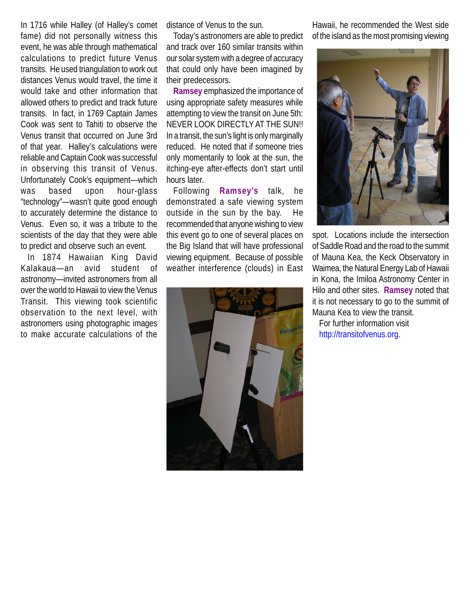In 1716 while Halley (of Halley's comet fame) did not personally witness this event, he was able through mathematical calculations to predict future Venus transits. He used triangulation to work out distances Venus would travel, the time it would take and other information that allowed others to predict and track future transits. In fact, in 1769 Captain James Cook was sent to Tahiti to observe the Venus transit that occurred on June 3rd of that year. Halley's calculations were reliable and Captain Cook was successful in observing this transit of Venus. Unfortunately Cook's equipment—which was based upon hour-glass "technology"—wasn't quite good enough to accurately determine the distance to Venus. Even so, it was a tribute to the scientists of the day that they were able to predict and observe such an event.

In 1874 Hawaiian King David Kalakaua—an avid student of astronomy—invited astronomers from all over the world to Hawaii to view the Venus Transit. This viewing took scientific observation to the next level, with astronomers using photographic images to make accurate calculations of the

distance of Venus to the sun.

Today's astronomers are able to predict and track over 160 similar transits within our solar system with a degree of accuracy that could only have been imagined by their predecessors.

**Ramsey** emphasized the importance of using appropriate safety measures while attempting to view the transit on June 5th: NEVER LOOK DIRECTLY AT THE SUN!! In a transit, the sun's light is only marginally reduced. He noted that if someone tries only momentarily to look at the sun, the itching-eye after-effects don't start until hours later.

Following **Ramsey's** talk, he demonstrated a safe viewing system outside in the sun by the bay. He recommended that anyone wishing to view this event go to one of several places on the Big Island that will have professional viewing equipment. Because of possible weather interference (clouds) in East



Hawaii, he recommended the West side of the island as the most promising viewing



spot. Locations include the intersection of Saddle Road and the road to the summit of Mauna Kea, the Keck Observatory in Waimea, the Natural Energy Lab of Hawaii in Kona, the Imiloa Astronomy Center in Hilo and other sites. **Ramsey** noted that it is not necessary to go to the summit of Mauna Kea to view the transit.

For further information visit http://transitofvenus.org.